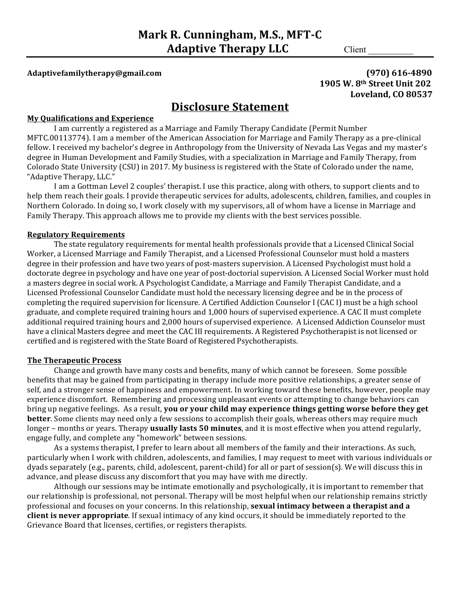# **Adaptivefamilytherapy@gmail.com (970) 616-4890**

# **1905 W. 8<sup>th</sup> Street Unit 202 Loveland, CO 80537**

# **Disclosure Statement**

#### **My Qualifications and Experience**

I am currently a registered as a Marriage and Family Therapy Candidate (Permit Number MFTC.00113774). I am a member of the American Association for Marriage and Family Therapy as a pre-clinical fellow. I received my bachelor's degree in Anthropology from the University of Nevada Las Vegas and my master's degree in Human Development and Family Studies, with a specialization in Marriage and Family Therapy, from Colorado State University (CSU) in 2017. My business is registered with the State of Colorado under the name, "Adaptive Therapy, LLC."

I am a Gottman Level 2 couples' therapist. I use this practice, along with others, to support clients and to help them reach their goals. I provide therapeutic services for adults, adolescents, children, families, and couples in Northern Colorado. In doing so, I work closely with my supervisors, all of whom have a license in Marriage and Family Therapy. This approach allows me to provide my clients with the best services possible.

#### **Regulatory Requirements**

The state regulatory requirements for mental health professionals provide that a Licensed Clinical Social Worker, a Licensed Marriage and Family Therapist, and a Licensed Professional Counselor must hold a masters degree in their profession and have two years of post-masters supervision. A Licensed Psychologist must hold a doctorate degree in psychology and have one year of post-doctorial supervision. A Licensed Social Worker must hold a masters degree in social work. A Psychologist Candidate, a Marriage and Family Therapist Candidate, and a Licensed Professional Counselor Candidate must hold the necessary licensing degree and be in the process of completing the required supervision for licensure. A Certified Addiction Counselor I (CAC I) must be a high school graduate, and complete required training hours and 1,000 hours of supervised experience. A CAC II must complete additional required training hours and 2,000 hours of supervised experience. A Licensed Addiction Counselor must have a clinical Masters degree and meet the CAC III requirements. A Registered Psychotherapist is not licensed or certified and is registered with the State Board of Registered Psychotherapists.

#### **The Therapeutic Process**

Change and growth have many costs and benefits, many of which cannot be foreseen. Some possible benefits that may be gained from participating in therapy include more positive relationships, a greater sense of self, and a stronger sense of happiness and empowerment. In working toward these benefits, however, people may experience discomfort. Remembering and processing unpleasant events or attempting to change behaviors can bring up negative feelings. As a result, you or your child may experience things getting worse before they get **better**. Some clients may need only a few sessions to accomplish their goals, whereas others may require much longer – months or years. Therapy **usually lasts 50 minutes**, and it is most effective when you attend regularly, engage fully, and complete any "homework" between sessions.

As a systems therapist, I prefer to learn about all members of the family and their interactions. As such, particularly when I work with children, adolescents, and families, I may request to meet with various individuals or dyads separately (e.g., parents, child, adolescent, parent-child) for all or part of session(s). We will discuss this in advance, and please discuss any discomfort that you may have with me directly.

Although our sessions may be intimate emotionally and psychologically, it is important to remember that our relationship is professional, not personal. Therapy will be most helpful when our relationship remains strictly professional and focuses on your concerns. In this relationship, **sexual intimacy between a therapist and a client is never appropriate**. If sexual intimacy of any kind occurs, it should be immediately reported to the Grievance Board that licenses, certifies, or registers therapists.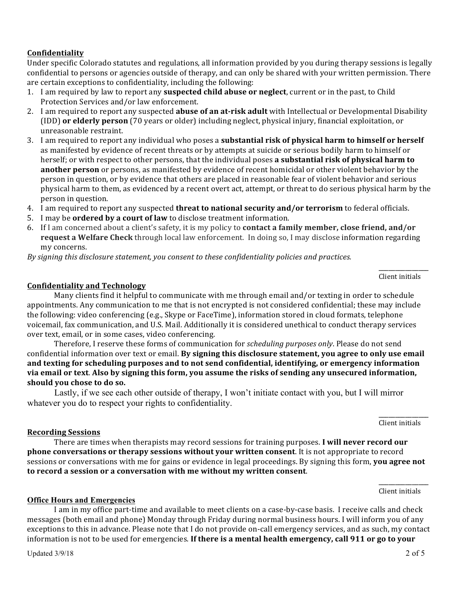# **Confidentiality**

Under specific Colorado statutes and regulations, all information provided by you during therapy sessions is legally confidential to persons or agencies outside of therapy, and can only be shared with your written permission. There are certain exceptions to confidentiality, including the following:

- 1. I am required by law to report any **suspected child abuse or neglect**, current or in the past, to Child Protection Services and/or law enforcement.
- 2. I am required to report any suspected **abuse of an at-risk adult** with Intellectual or Developmental Disability (IDD) **or elderly person** (70 years or older) including neglect, physical injury, financial exploitation, or unreasonable restraint.
- 3. I am required to report any individual who poses a **substantial risk of physical harm to himself or herself** as manifested by evidence of recent threats or by attempts at suicide or serious bodily harm to himself or herself; or with respect to other persons, that the individual poses **a substantial risk of physical harm to another person** or persons, as manifested by evidence of recent homicidal or other violent behavior by the person in question, or by evidence that others are placed in reasonable fear of violent behavior and serious physical harm to them, as evidenced by a recent overt act, attempt, or threat to do serious physical harm by the person in question.
- 4. I am required to report any suspected **threat to national security and/or terrorism** to federal officials.
- 5. I may be **ordered by a court of law** to disclose treatment information.
- 6. If I am concerned about a client's safety, it is my policy to **contact a family member, close friend, and/or request a Welfare Check** through local law enforcement. In doing so, I may disclose information regarding my concerns.

*By* signing this disclosure statement, you consent to these confidentiality policies and practices.

\_\_\_\_\_\_\_\_\_\_\_\_\_\_\_ Client initials

# **Confidentiality and Technology**

Many clients find it helpful to communicate with me through email and/or texting in order to schedule appointments. Any communication to me that is not encrypted is not considered confidential; these may include the following: video conferencing (e.g., Skype or FaceTime), information stored in cloud formats, telephone voicemail, fax communication, and U.S. Mail. Additionally it is considered unethical to conduct therapy services over text, email, or in some cases, video conferencing.

Therefore, I reserve these forms of communication for *scheduling purposes only*. Please do not send confidential information over text or email. By signing this disclosure statement, you agree to only use email and texting for scheduling purposes and to not send confidential, identifying, or emergency information via email or text. Also by signing this form, you assume the risks of sending any unsecured information, should you chose to do so.

Lastly, if we see each other outside of therapy, I won't initiate contact with you, but I will mirror whatever you do to respect your rights to confidentiality.

> \_\_\_\_\_\_\_\_\_\_\_\_\_\_\_ Client initials

#### **Recording Sessions**

There are times when therapists may record sessions for training purposes. I will never record our **phone conversations or therapy sessions without your written consent**. It is not appropriate to record sessions or conversations with me for gains or evidence in legal proceedings. By signing this form, you agree not to record a session or a conversation with me without my written consent.

> \_\_\_\_\_\_\_\_\_\_\_\_\_\_\_ Client initials

# **Office Hours and Emergencies**

I am in my office part-time and available to meet clients on a case-by-case basis. I receive calls and check messages (both email and phone) Monday through Friday during normal business hours. I will inform you of any exceptions to this in advance. Please note that I do not provide on-call emergency services, and as such, my contact information is not to be used for emergencies. If there is a mental health emergency, call 911 or go to your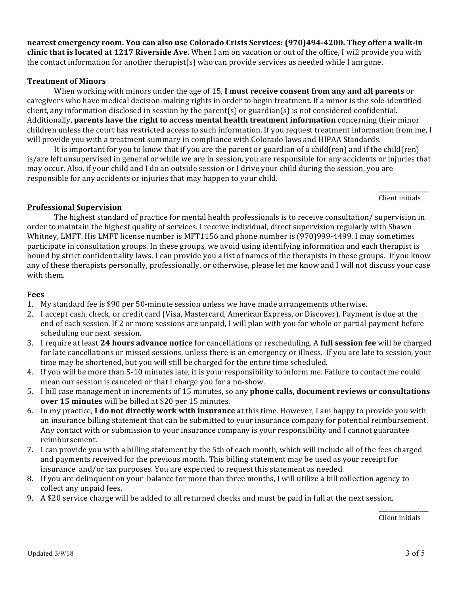nearest emergency room. You can also use Colorado Crisis Services: (970)494-4200. They offer a walk-in **clinic that is located at 1217 Riverside Ave.** When I am on vacation or out of the office, I will provide you with the contact information for another therapist(s) who can provide services as needed while I am gone.

# **Treatment of Minors**

When working with minors under the age of 15, I must receive consent from any and all parents or caregivers who have medical decision-making rights in order to begin treatment. If a minor is the sole-identified client, any information disclosed in session by the parent(s) or guardian(s) is not considered confidential. Additionally, parents have the right to access mental health treatment information concerning their minor children unless the court has restricted access to such information. If you request treatment information from me, I will provide you with a treatment summary in compliance with Colorado laws and HIPAA Standards.

It is important for you to know that if you are the parent or guardian of a child(ren) and if the child(ren) is/are left unsupervised in general or while we are in session, you are responsible for any accidents or injuries that may occur. Also, if your child and I do an outside session or I drive your child during the session, you are responsible for any accidents or injuries that may happen to your child.

> \_\_\_\_\_\_\_\_\_\_\_\_\_\_\_ Client initials

# **Professional Supervision**

The highest standard of practice for mental health professionals is to receive consultation/ supervision in order to maintain the highest quality of services. I receive individual, direct supervision regularly with Shawn Whitney, LMFT. His LMFT license number is MFT1156 and phone number is (970)999-4499. I may sometimes participate in consultation groups. In these groups, we avoid using identifying information and each therapist is bound by strict confidentiality laws. I can provide you a list of names of the therapists in these groups. If you know any of these therapists personally, professionally, or otherwise, please let me know and I will not discuss your case with them.

# **Fees**

- 1. My standard fee is \$90 per 50-minute session unless we have made arrangements otherwise.
- 2. I accept cash, check, or credit card (Visa, Mastercard, American Express, or Discover). Payment is due at the end of each session. If 2 or more sessions are unpaid, I will plan with you for whole or partial payment before scheduling our next session.
- 3. I require at least 24 hours advance notice for cancellations or rescheduling. A full session fee will be charged for late cancellations or missed sessions, unless there is an emergency or illness. If you are late to session, your time may be shortened, but you will still be charged for the entire time scheduled.
- 4. If you will be more than 5-10 minutes late, it is your responsibility to inform me. Failure to contact me could mean our session is canceled or that I charge you for a no-show.
- 5. I bill case management in increments of 15 minutes, so any **phone calls, document reviews or consultations over 15 minutes** will be billed at \$20 per 15 minutes.
- 6. In my practice, **I do not directly work with insurance** at this time. However, I am happy to provide you with an insurance billing statement that can be submitted to your insurance company for potential reimbursement. Any contact with or submission to your insurance company is your responsibility and I cannot guarantee reimbursement.
- 7. I can provide you with a billing statement by the 5th of each month, which will include all of the fees charged and payments received for the previous month. This billing statement may be used as your receipt for insurance and/or tax purposes. You are expected to request this statement as needed.
- 8. If you are delinquent on your balance for more than three months, I will utilize a bill collection agency to collect any unpaid fees.
- 9. A \$20 service charge will be added to all returned checks and must be paid in full at the next session.

\_\_\_\_\_\_\_\_\_\_\_\_\_\_\_ Client initials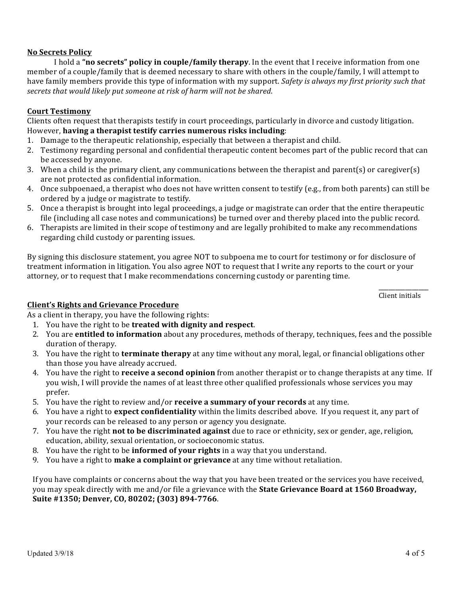# **No Secrets Policy**

I hold a "no secrets" policy in couple/family therapy. In the event that I receive information from one member of a couple/family that is deemed necessary to share with others in the couple/family, I will attempt to have family members provide this type of information with my support. *Safety is always my first priority such that* secrets that would likely put someone at risk of harm will not be shared.

# **Court Testimony**

Clients often request that therapists testify in court proceedings, particularly in divorce and custody litigation. However, having a therapist testify carries numerous risks including:

- 1. Damage to the therapeutic relationship, especially that between a therapist and child.
- 2. Testimony regarding personal and confidential therapeutic content becomes part of the public record that can be accessed by anyone.
- 3. When a child is the primary client, any communications between the therapist and parent(s) or caregiver(s) are not protected as confidential information.
- 4. Once subpoenaed, a therapist who does not have written consent to testify (e.g., from both parents) can still be ordered by a judge or magistrate to testify.
- 5. Once a therapist is brought into legal proceedings, a judge or magistrate can order that the entire therapeutic file (including all case notes and communications) be turned over and thereby placed into the public record.
- 6. Therapists are limited in their scope of testimony and are legally prohibited to make any recommendations regarding child custody or parenting issues.

By signing this disclosure statement, you agree NOT to subpoena me to court for testimony or for disclosure of treatment information in litigation. You also agree NOT to request that I write any reports to the court or your attorney, or to request that I make recommendations concerning custody or parenting time.

> \_\_\_\_\_\_\_\_\_\_\_\_\_\_\_ Client initials

#### **Client's Rights and Grievance Procedure**

As a client in therapy, you have the following rights:

- 1. You have the right to be **treated with dignity and respect**.
- 2. You are **entitled to information** about any procedures, methods of therapy, techniques, fees and the possible duration of therapy.
- 3. You have the right to **terminate therapy** at any time without any moral, legal, or financial obligations other than those you have already accrued.
- 4. You have the right to **receive a second opinion** from another therapist or to change therapists at any time. If you wish, I will provide the names of at least three other qualified professionals whose services you may prefer.
- 5. You have the right to review and/or **receive a summary of your records** at any time.
- 6. You have a right to **expect confidentiality** within the limits described above. If you request it, any part of your records can be released to any person or agency you designate.
- 7. You have the right **not to be discriminated against** due to race or ethnicity, sex or gender, age, religion, education, ability, sexual orientation, or socioeconomic status.
- 8. You have the right to be **informed of your rights** in a way that you understand.
- 9. You have a right to **make a complaint or grievance** at any time without retaliation.

If you have complaints or concerns about the way that you have been treated or the services you have received, you may speak directly with me and/or file a grievance with the **State Grievance Board at 1560 Broadway**, Suite #1350; Denver, CO, 80202; (303) 894-7766.